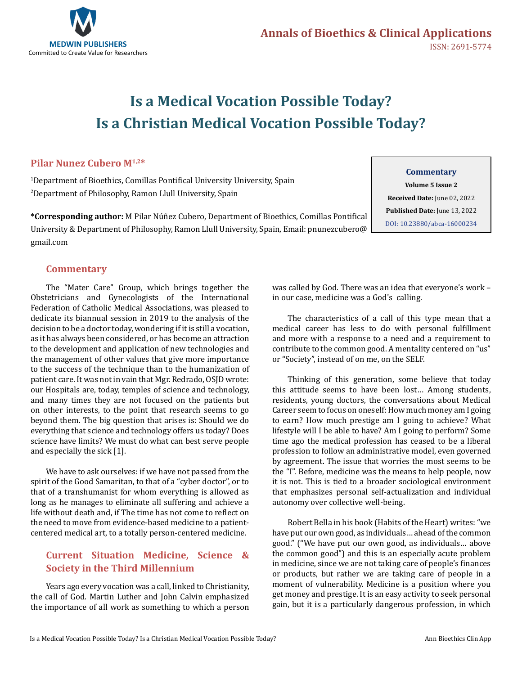

# **Is a Medical Vocation Possible Today? Is a Christian Medical Vocation Possible Today?**

# **Pilar Nunez Cubero M1,2\***

1 Department of Bioethics, Comillas Pontifical University University, Spain 2 Department of Philosophy, Ramon Llull University, Spain

**\*Corresponding author:** M Pilar Núñez Cubero, Department of Bioethics, Comillas Pontifical University & Department of Philosophy, Ramon Llull University, Spain, Email: pnunezcubero@ gmail.com

### **Commentary**

**Volume 5 Issue 2 Received Date:** June 02, 2022 **Published Date:** June 13, 2022 [DOI: 10.23880/abca-16000234](https://doi.org/10.23880/abca-16000234)

# **Commentary**

The "Mater Care" Group, which brings together the Obstetricians and Gynecologists of the International Federation of Catholic Medical Associations, was pleased to dedicate its biannual session in 2019 to the analysis of the decision to be a doctor today, wondering if it is still a vocation, as it has always been considered, or has become an attraction to the development and application of new technologies and the management of other values that give more importance to the success of the technique than to the humanization of patient care. It was not in vain that Mgr. Redrado, OSJD wrote: our Hospitals are, today, temples of science and technology, and many times they are not focused on the patients but on other interests, to the point that research seems to go beyond them. The big question that arises is: Should we do everything that science and technology offers us today? Does science have limits? We must do what can best serve people and especially the sick [1].

We have to ask ourselves: if we have not passed from the spirit of the Good Samaritan, to that of a "cyber doctor", or to that of a transhumanist for whom everything is allowed as long as he manages to eliminate all suffering and achieve a life without death and, if The time has not come to reflect on the need to move from evidence-based medicine to a patientcentered medical art, to a totally person-centered medicine.

# **Current Situation Medicine, Science & Society in the Third Millennium**

Years ago every vocation was a call, linked to Christianity, the call of God. Martin Luther and John Calvin emphasized the importance of all work as something to which a person

was called by God. There was an idea that everyone's work – in our case, medicine was a God's calling.

The characteristics of a call of this type mean that a medical career has less to do with personal fulfillment and more with a response to a need and a requirement to contribute to the common good. A mentality centered on "us" or "Society", instead of on me, on the SELF.

Thinking of this generation, some believe that today this attitude seems to have been lost… Among students, residents, young doctors, the conversations about Medical Career seem to focus on oneself: How much money am I going to earn? How much prestige am I going to achieve? What lifestyle will I be able to have? Am I going to perform? Some time ago the medical profession has ceased to be a liberal profession to follow an administrative model, even governed by agreement. The issue that worries the most seems to be the "I". Before, medicine was the means to help people, now it is not. This is tied to a broader sociological environment that emphasizes personal self-actualization and individual autonomy over collective well-being.

Robert Bella in his book (Habits of the Heart) writes: "we have put our own good, as individuals… ahead of the common good." ("We have put our own good, as individuals… above the common good") and this is an especially acute problem in medicine, since we are not taking care of people's finances or products, but rather we are taking care of people in a moment of vulnerability. Medicine is a position where you get money and prestige. It is an easy activity to seek personal gain, but it is a particularly dangerous profession, in which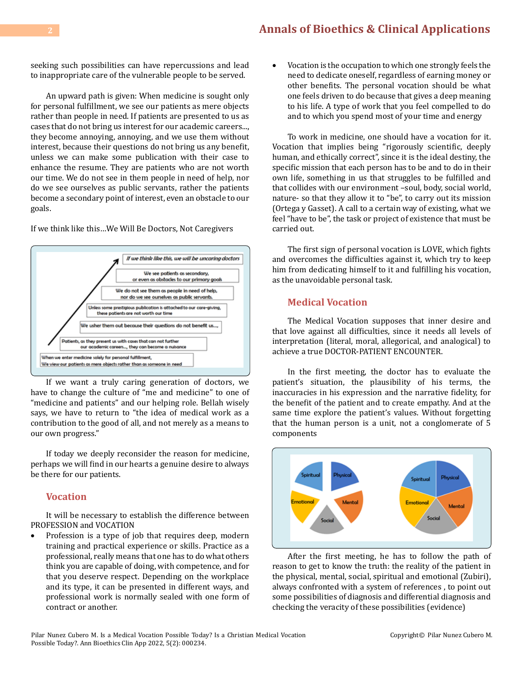seeking such possibilities can have repercussions and lead to inappropriate care of the vulnerable people to be served.

An upward path is given: When medicine is sought only for personal fulfillment, we see our patients as mere objects rather than people in need. If patients are presented to us as cases that do not bring us interest for our academic careers..., they become annoying, annoying, and we use them without interest, because their questions do not bring us any benefit, unless we can make some publication with their case to enhance the resume. They are patients who are not worth our time. We do not see in them people in need of help, nor do we see ourselves as public servants, rather the patients become a secondary point of interest, even an obstacle to our goals.

If we think like this…We Will Be Doctors, Not Caregivers



If we want a truly caring generation of doctors, we have to change the culture of "me and medicine" to one of "medicine and patients" and our helping role. Bellah wisely says, we have to return to "the idea of medical work as a contribution to the good of all, and not merely as a means to our own progress."

If today we deeply reconsider the reason for medicine, perhaps we will find in our hearts a genuine desire to always be there for our patients.

### **Vocation**

It will be necessary to establish the difference between PROFESSION and VOCATION

Profession is a type of job that requires deep, modern training and practical experience or skills. Practice as a professional, really means that one has to do what others think you are capable of doing, with competence, and for that you deserve respect. Depending on the workplace and its type, it can be presented in different ways, and professional work is normally sealed with one form of contract or another.

Vocation is the occupation to which one strongly feels the need to dedicate oneself, regardless of earning money or other benefits. The personal vocation should be what one feels driven to do because that gives a deep meaning to his life. A type of work that you feel compelled to do and to which you spend most of your time and energy

To work in medicine, one should have a vocation for it. Vocation that implies being "rigorously scientific, deeply human, and ethically correct", since it is the ideal destiny, the specific mission that each person has to be and to do in their own life, something in us that struggles to be fulfilled and that collides with our environment –soul, body, social world, nature- so that they allow it to "be", to carry out its mission (Ortega y Gasset). A call to a certain way of existing, what we feel "have to be", the task or project of existence that must be carried out.

The first sign of personal vocation is LOVE, which fights and overcomes the difficulties against it, which try to keep him from dedicating himself to it and fulfilling his vocation, as the unavoidable personal task.

### **Medical Vocation**

The Medical Vocation supposes that inner desire and that love against all difficulties, since it needs all levels of interpretation (literal, moral, allegorical, and analogical) to achieve a true DOCTOR-PATIENT ENCOUNTER.

In the first meeting, the doctor has to evaluate the patient's situation, the plausibility of his terms, the inaccuracies in his expression and the narrative fidelity, for the benefit of the patient and to create empathy. And at the same time explore the patient's values. Without forgetting that the human person is a unit, not a conglomerate of 5 components



After the first meeting, he has to follow the path of reason to get to know the truth: the reality of the patient in the physical, mental, social, spiritual and emotional (Zubiri), always confronted with a system of references , to point out some possibilities of diagnosis and differential diagnosis and checking the veracity of these possibilities (evidence)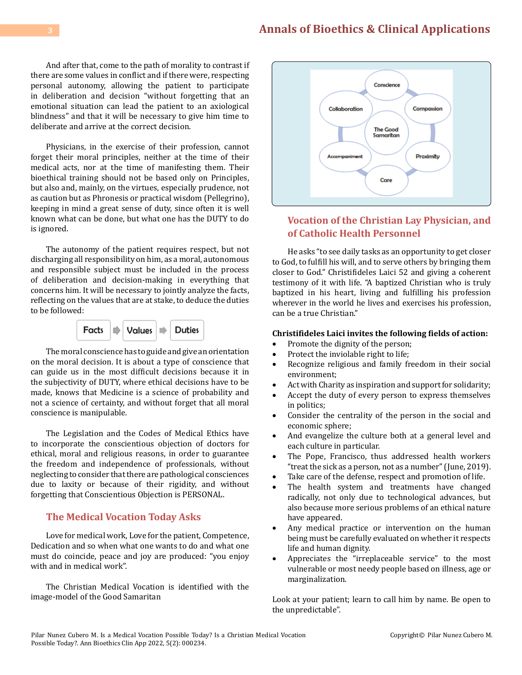And after that, come to the path of morality to contrast if there are some values in conflict and if there were, respecting personal autonomy, allowing the patient to participate in deliberation and decision "without forgetting that an emotional situation can lead the patient to an axiological blindness" and that it will be necessary to give him time to deliberate and arrive at the correct decision.

Physicians, in the exercise of their profession, cannot forget their moral principles, neither at the time of their medical acts, nor at the time of manifesting them. Their bioethical training should not be based only on Principles, but also and, mainly, on the virtues, especially prudence, not as caution but as Phronesis or practical wisdom (Pellegrino), keeping in mind a great sense of duty, since often it is well known what can be done, but what one has the DUTY to do is ignored.

The autonomy of the patient requires respect, but not discharging all responsibility on him, as a moral, autonomous and responsible subject must be included in the process of deliberation and decision-making in everything that concerns him. It will be necessary to jointly analyze the facts, reflecting on the values that are at stake, to deduce the duties to be followed:



The moral conscience has to guide and give an orientation on the moral decision. It is about a type of conscience that can guide us in the most difficult decisions because it in the subjectivity of DUTY, where ethical decisions have to be made, knows that Medicine is a science of probability and not a science of certainty, and without forget that all moral conscience is manipulable.

The Legislation and the Codes of Medical Ethics have to incorporate the conscientious objection of doctors for ethical, moral and religious reasons, in order to guarantee the freedom and independence of professionals, without neglecting to consider that there are pathological consciences due to laxity or because of their rigidity, and without forgetting that Conscientious Objection is PERSONAL.

#### **The Medical Vocation Today Asks**

Love for medical work, Love for the patient, Competence, Dedication and so when what one wants to do and what one must do coincide, peace and joy are produced: "you enjoy with and in medical work".

The Christian Medical Vocation is identified with the image-model of the Good Samaritan



# **Vocation of the Christian Lay Physician, and of Catholic Health Personnel**

He asks "to see daily tasks as an opportunity to get closer to God, to fulfill his will, and to serve others by bringing them closer to God." Christifideles Laici 52 and giving a coherent testimony of it with life. "A baptized Christian who is truly baptized in his heart, living and fulfilling his profession wherever in the world he lives and exercises his profession, can be a true Christian."

#### **Christifideles Laici invites the following fields of action:**

- Promote the dignity of the person;<br>• Protect the inviolable right to life:
- Protect the inviolable right to life;
- Recognize religious and family freedom in their social environment;
- Act with Charity as inspiration and support for solidarity;
- Accept the duty of every person to express themselves in politics;
- • Consider the centrality of the person in the social and economic sphere;
- And evangelize the culture both at a general level and each culture in particular.
- The Pope, Francisco, thus addressed health workers "treat the sick as a person, not as a number" (June, 2019).
- Take care of the defense, respect and promotion of life.<br>• The health system and treatments have change
- The health system and treatments have changed radically, not only due to technological advances, but also because more serious problems of an ethical nature have appeared.
- Any medical practice or intervention on the human being must be carefully evaluated on whether it respects life and human dignity.
- • Appreciates the "irreplaceable service" to the most vulnerable or most needy people based on illness, age or marginalization.

Look at your patient; learn to call him by name. Be open to the unpredictable".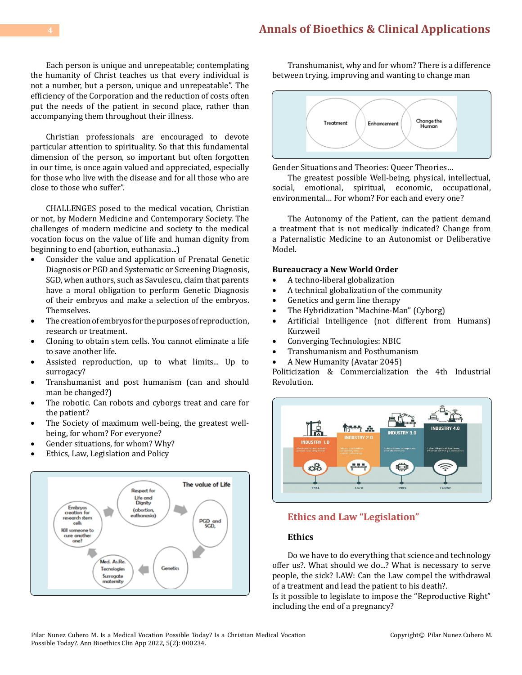Each person is unique and unrepeatable; contemplating the humanity of Christ teaches us that every individual is not a number, but a person, unique and unrepeatable". The efficiency of the Corporation and the reduction of costs often put the needs of the patient in second place, rather than accompanying them throughout their illness.

Christian professionals are encouraged to devote particular attention to spirituality. So that this fundamental dimension of the person, so important but often forgotten in our time, is once again valued and appreciated, especially for those who live with the disease and for all those who are close to those who suffer".

CHALLENGES posed to the medical vocation, Christian or not, by Modern Medicine and Contemporary Society. The challenges of modern medicine and society to the medical vocation focus on the value of life and human dignity from beginning to end (abortion, euthanasia...)<br>Consider the value and annication of

- Consider the value and application of Prenatal Genetic Diagnosis or PGD and Systematic or Screening Diagnosis, SGD, when authors, such as Savulescu, claim that parents have a moral obligation to perform Genetic Diagnosis of their embryos and make a selection of the embryos. Themselves.
- • The creation of embryos for the purposes of reproduction, research or treatment.
- Cloning to obtain stem cells. You cannot eliminate a life to save another life.
- Assisted reproduction, up to what limits... Up to surrogacy?
- Transhumanist and post humanism (can and should man be changed?)
- The robotic. Can robots and cyborgs treat and care for the patient?
- The Society of maximum well-being, the greatest wellbeing, for whom? For everyone?
- Gender situations, for whom? Why?
- Ethics, Law, Legislation and Policy



Transhumanist, why and for whom? There is a difference between trying, improving and wanting to change man



Gender Situations and Theories: Queer Theories…

The greatest possible Well-being, physical, intellectual, social, emotional, spiritual, economic, occupational, environmental… For whom? For each and every one?

The Autonomy of the Patient, can the patient demand a treatment that is not medically indicated? Change from a Paternalistic Medicine to an Autonomist or Deliberative Model.

#### **Bureaucracy a New World Order**

- • A techno-liberal globalization
- A technical globalization of the community<br>• Genetics and germ line therapy
- Genetics and germ line therapy
- The Hybridization "Machine-Man" (Cyborg)<br>• Artificial Intelligence (not different from
- Artificial Intelligence (not different from Humans) Kurzweil
- Converging Technologies: NBIC
- Transhumanism and Posthumanism
- A New Humanity (Avatar 2045)

Politicization & Commercialization the 4th Industrial Revolution.



# **Ethics and Law "Legislation"**

#### **Ethics**

Do we have to do everything that science and technology offer us?. What should we do...? What is necessary to serve people, the sick? LAW: Can the Law compel the withdrawal of a treatment and lead the patient to his death?.

Is it possible to legislate to impose the "Reproductive Right" including the end of a pregnancy?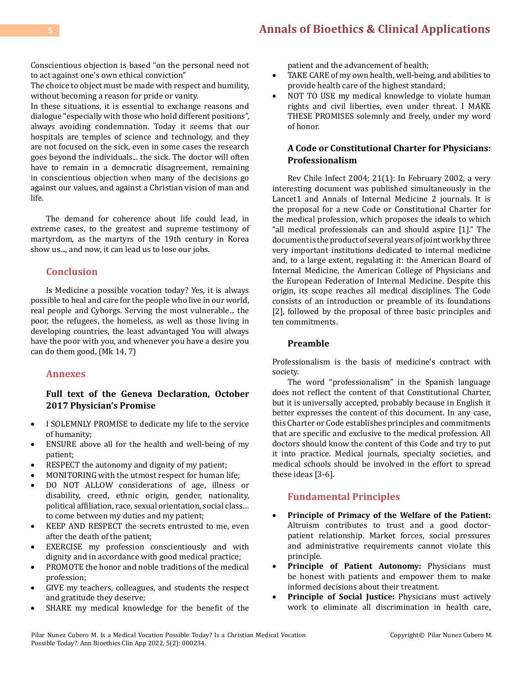Conscientious objection is based "on the personal need not to act against one's own ethical conviction"

The choice to object must be made with respect and humility, without becoming a reason for pride or vanity.

In these situations, it is essential to exchange reasons and dialogue "especially with those who hold different positions", always avoiding condemnation. Today it seems that our hospitals are temples of science and technology, and they are not focused on the sick, even in some cases the research goes beyond the individuals... the sick. The doctor will often have to remain in a democratic disagreement, remaining in conscientious objection when many of the decisions go against our values, and against a Christian vision of man and life.

The demand for coherence about life could lead, in extreme cases, to the greatest and supreme testimony of martyrdom, as the martyrs of the 19th century in Korea show us..., and now, it can lead us to lose our jobs.

# **Conclusion**

Is Medicine a possible vocation today? Yes, it is always possible to heal and care for the people who live in our world, real people and Cyborgs. Serving the most vulnerable... the poor, the refugees, the homeless, as well as those living in developing countries, the least advantaged You will always have the poor with you, and whenever you have a desire you can do them good, (Mk 14, 7)

### **Annexes**

# **Full text of the Geneva Declaration, October 2017 Physician's Promise**

- I SOLEMNLY PROMISE to dedicate my life to the service of humanity;
- • ENSURE above all for the health and well-being of my patient;
- RESPECT the autonomy and dignity of my patient;
- MONITORING with the utmost respect for human life;
- DO NOT ALLOW considerations of age, illness or disability, creed, ethnic origin, gender, nationality, political affiliation, race, sexual orientation, social class… to come between my duties and my patient;
- KEEP AND RESPECT the secrets entrusted to me, even after the death of the patient;
- EXERCISE my profession conscientiously and with dignity and in accordance with good medical practice;
- PROMOTE the honor and noble traditions of the medical profession;
- GIVE my teachers, colleagues, and students the respect and gratitude they deserve;
- SHARE my medical knowledge for the benefit of the

patient and the advancement of health;

- TAKE CARE of my own health, well-being, and abilities to provide health care of the highest standard;
- NOT TO USE my medical knowledge to violate human rights and civil liberties, even under threat. I MAKE THESE PROMISES solemnly and freely, under my word of honor.

# **A Code or Constitutional Charter for Physicians: Professionalism**

Rev Chile Infect 2004; 21(1): In February 2002, a very interesting document was published simultaneously in the Lancet1 and Annals of Internal Medicine 2 journals. It is the proposal for a new Code or Constitutional Charter for the medical profession, which proposes the ideals to which "all medical professionals can and should aspire [1]." The document is the product of several years of joint work by three very important institutions dedicated to internal medicine and, to a large extent, regulating it: the American Board of Internal Medicine, the American College of Physicians and the European Federation of Internal Medicine. Despite this origin, its scope reaches all medical disciplines. The Code consists of an introduction or preamble of its foundations [2], followed by the proposal of three basic principles and ten commitments.

### **Preamble**

Professionalism is the basis of medicine's contract with society.

The word "professionalism" in the Spanish language does not reflect the content of that Constitutional Charter, but it is universally accepted, probably because in English it better expresses the content of this document. In any case, this Charter or Code establishes principles and commitments that are specific and exclusive to the medical profession. All doctors should know the content of this Code and try to put it into practice. Medical journals, specialty societies, and medical schools should be involved in the effort to spread these ideas [3-6].

# **Fundamental Principles**

- Principle of Primacy of the Welfare of the Patient: Altruism contributes to trust and a good doctorpatient relationship. Market forces, social pressures and administrative requirements cannot violate this principle.
- • **Principle of Patient Autonomy:** Physicians must be honest with patients and empower them to make informed decisions about their treatment.
- • **Principle of Social Justice:** Physicians must actively work to eliminate all discrimination in health care,